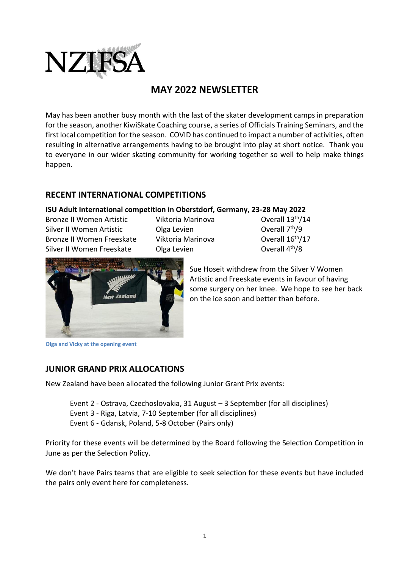

# **MAY 2022 NEWSLETTER**

May has been another busy month with the last of the skater development camps in preparation for the season, another KiwiSkate Coaching course, a series of Officials Training Seminars, and the first local competition for the season. COVID has continued to impact a number of activities, often resulting in alternative arrangements having to be brought into play at short notice. Thank you to everyone in our wider skating community for working together so well to help make things happen.

## **RECENT INTERNATIONAL COMPETITIONS**

#### **ISU Adult International competition in Oberstdorf, Germany, 23-28 May 2022**

Bronze II Women Artistic Viktoria Marinova Coverall 13<sup>th</sup>/14 Silver II Women Artistic **Olga Levien** Bronze II Women Freeskate Viktoria Marinova Overall 16<sup>th</sup>/17 Silver II Women Freeskate Olga Levien Controller Coverall 4th/8

Overall 7<sup>th</sup>/9



Sue Hoseit withdrew from the Silver V Women Artistic and Freeskate events in favour of having some surgery on her knee. We hope to see her back on the ice soon and better than before.

**Olga and Vicky at the opening event**

## **JUNIOR GRAND PRIX ALLOCATIONS**

New Zealand have been allocated the following Junior Grant Prix events:

Event 2 - Ostrava, Czechoslovakia, 31 August – 3 September (for all disciplines) Event 3 - Riga, Latvia, 7-10 September (for all disciplines) Event 6 - Gdansk, Poland, 5-8 October (Pairs only)

Priority for these events will be determined by the Board following the Selection Competition in June as per the Selection Policy.

We don't have Pairs teams that are eligible to seek selection for these events but have included the pairs only event here for completeness.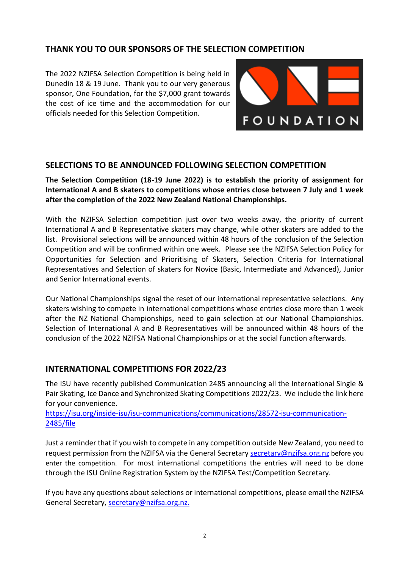## **THANK YOU TO OUR SPONSORS OF THE SELECTION COMPETITION**

The 2022 NZIFSA Selection Competition is being held in Dunedin 18 & 19 June. Thank you to our very generous sponsor, One Foundation, for the \$7,000 grant towards the cost of ice time and the accommodation for our officials needed for this Selection Competition.



### **SELECTIONS TO BE ANNOUNCED FOLLOWING SELECTION COMPETITION**

**The Selection Competition (18-19 June 2022) is to establish the priority of assignment for International A and B skaters to competitions whose entries close between 7 July and 1 week after the completion of the 2022 New Zealand National Championships.** 

With the NZIFSA Selection competition just over two weeks away, the priority of current International A and B Representative skaters may change, while other skaters are added to the list. Provisional selections will be announced within 48 hours of the conclusion of the Selection Competition and will be confirmed within one week. Please see the NZIFSA Selection Policy for Opportunities for Selection and Prioritising of Skaters, Selection Criteria for International Representatives and Selection of skaters for Novice (Basic, Intermediate and Advanced), Junior and Senior International events.

Our National Championships signal the reset of our international representative selections. Any skaters wishing to compete in international competitions whose entries close more than 1 week after the NZ National Championships, need to gain selection at our National Championships. Selection of International A and B Representatives will be announced within 48 hours of the conclusion of the 2022 NZIFSA National Championships or at the social function afterwards.

## **INTERNATIONAL COMPETITIONS FOR 2022/23**

The ISU have recently published Communication 2485 announcing all the International Single & Pair Skating, Ice Dance and Synchronized Skating Competitions 2022/23. We include the link here for your convenience.

https://isu.org/inside-isu/isu-communications/communications/28572-isu-communication-2485/file

Just a reminder that if you wish to compete in any competition outside New Zealand, you need to request permission from the NZIFSA via the General Secretar[y secretary@nzifsa.org.nz](mailto:secretary@nzifsa.org.nz) before you enter the competition. For most international competitions the entries will need to be done through the ISU Online Registration System by the NZIFSA Test/Competition Secretary.

If you have any questions about selections or international competitions, please email the NZIFSA General Secretary, [secretary@nzifsa.org.nz.](mailto:secretary@nzifsa.org.nz)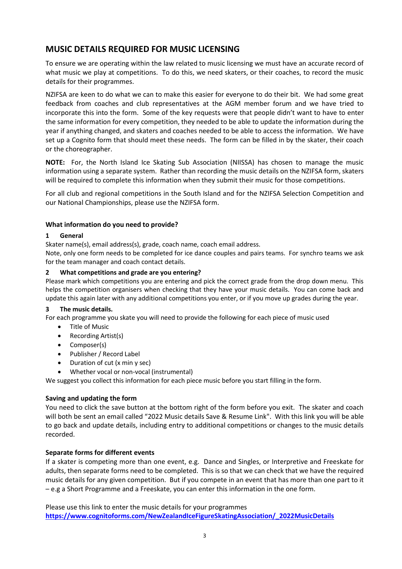## **MUSIC DETAILS REQUIRED FOR MUSIC LICENSING**

To ensure we are operating within the law related to music licensing we must have an accurate record of what music we play at competitions. To do this, we need skaters, or their coaches, to record the music details for their programmes.

NZIFSA are keen to do what we can to make this easier for everyone to do their bit. We had some great feedback from coaches and club representatives at the AGM member forum and we have tried to incorporate this into the form. Some of the key requests were that people didn't want to have to enter the same information for every competition, they needed to be able to update the information during the year if anything changed, and skaters and coaches needed to be able to access the information. We have set up a Cognito form that should meet these needs. The form can be filled in by the skater, their coach or the choreographer.

**NOTE:** For, the North Island Ice Skating Sub Association (NIISSA) has chosen to manage the music information using a separate system. Rather than recording the music details on the NZIFSA form, skaters will be required to complete this information when they submit their music for those competitions.

For all club and regional competitions in the South Island and for the NZIFSA Selection Competition and our National Championships, please use the NZIFSA form.

#### **What information do you need to provide?**

#### **1 General**

Skater name(s), email address(s), grade, coach name, coach email address.

Note, only one form needs to be completed for ice dance couples and pairs teams. For synchro teams we ask for the team manager and coach contact details.

#### **2 What competitions and grade are you entering?**

Please mark which competitions you are entering and pick the correct grade from the drop down menu. This helps the competition organisers when checking that they have your music details. You can come back and update this again later with any additional competitions you enter, or if you move up grades during the year.

#### **3 The music details.**

For each programme you skate you will need to provide the following for each piece of music used

- Title of Music
- Recording Artist(s)
- Composer(s)
- Publisher / Record Label
- Duration of cut (x min y sec)
- Whether vocal or non-vocal (instrumental)

We suggest you collect this information for each piece music before you start filling in the form.

#### **Saving and updating the form**

You need to click the save button at the bottom right of the form before you exit. The skater and coach will both be sent an email called "2022 Music details Save & Resume Link". With this link you will be able to go back and update details, including entry to additional competitions or changes to the music details recorded.

#### **Separate forms for different events**

If a skater is competing more than one event, e.g. Dance and Singles, or Interpretive and Freeskate for adults, then separate forms need to be completed. This is so that we can check that we have the required music details for any given competition. But if you compete in an event that has more than one part to it – e.g a Short Programme and a Freeskate, you can enter this information in the one form.

Please use this link to enter the music details for your programmes **[https://www.cognitoforms.com/NewZealandIceFigureSkatingAssociation/\\_2022MusicDetails](https://www.cognitoforms.com/NewZealandIceFigureSkatingAssociation/_2022MusicDetails)**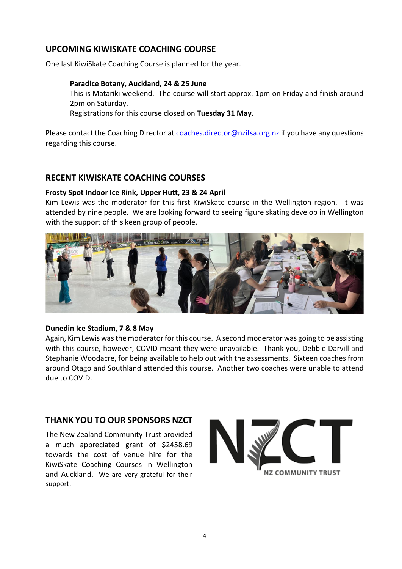## **UPCOMING KIWISKATE COACHING COURSE**

One last KiwiSkate Coaching Course is planned for the year.

#### **Paradice Botany, Auckland, 24 & 25 June**

This is Matariki weekend. The course will start approx. 1pm on Friday and finish around 2pm on Saturday.

Registrations for this course closed on **Tuesday 31 May.** 

Please contact the Coaching Director at [coaches.director@nzifsa.org.nz](mailto:coaches.director@nzifsa.org.nz) if you have any questions regarding this course.

### **RECENT KIWISKATE COACHING COURSES**

#### **Frosty Spot [Indoor Ice Rink,](https://www.tripadvisor.co.nz/Attraction_Review-g255115-d10541504-Reviews-Frosty_Spot_Indoor_Ice_Rink-Wellington_Greater_Wellington_North_Island.html) Upper Hutt, 23 & 24 April**

Kim Lewis was the moderator for this first KiwiSkate course in the Wellington region. It was attended by nine people. We are looking forward to seeing figure skating develop in Wellington with the support of this keen group of people.



#### **Dunedin Ice Stadium, 7 & 8 May**

Again, Kim Lewis was the moderator for this course. A second moderator was going to be assisting with this course, however, COVID meant they were unavailable. Thank you, Debbie Darvill and Stephanie Woodacre, for being available to help out with the assessments. Sixteen coaches from around Otago and Southland attended this course. Another two coaches were unable to attend due to COVID.

## **THANK YOU TO OUR SPONSORS NZCT**

The New Zealand Community Trust provided a much appreciated grant of \$2458.69 towards the cost of venue hire for the KiwiSkate Coaching Courses in Wellington and Auckland. We are very grateful for their support.

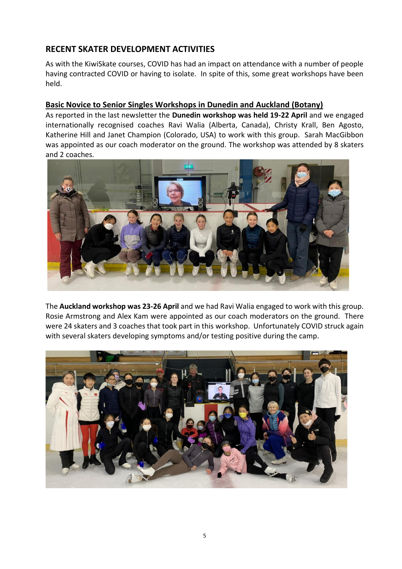## **RECENT SKATER DEVELOPMENT ACTIVITIES**

As with the KiwiSkate courses, COVID has had an impact on attendance with a number of people having contracted COVID or having to isolate. In spite of this, some great workshops have been held.

### **Basic Novice to Senior Singles Workshops in Dunedin and Auckland (Botany)**

As reported in the last newsletter the **Dunedin workshop was held 19-22 April** and we engaged internationally recognised coaches Ravi Walia (Alberta, Canada), Christy Krall, Ben Agosto, Katherine Hill and Janet Champion (Colorado, USA) to work with this group. Sarah MacGibbon was appointed as our coach moderator on the ground. The workshop was attended by 8 skaters and 2 coaches.



The **Auckland workshop was 23-26 April** and we had Ravi Walia engaged to work with this group. Rosie Armstrong and Alex Kam were appointed as our coach moderators on the ground. There were 24 skaters and 3 coaches that took part in this workshop. Unfortunately COVID struck again with several skaters developing symptoms and/or testing positive during the camp.

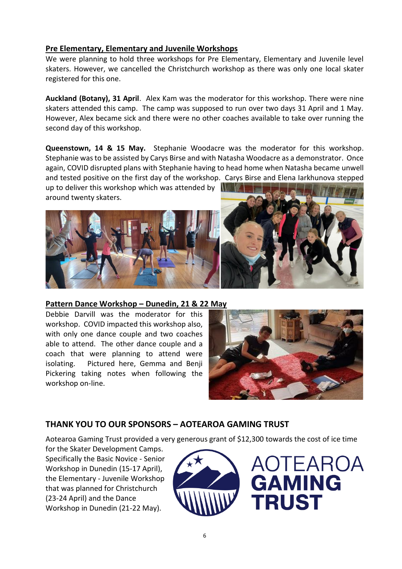## **Pre Elementary, Elementary and Juvenile Workshops**

We were planning to hold three workshops for Pre Elementary, Elementary and Juvenile level skaters. However, we cancelled the Christchurch workshop as there was only one local skater registered for this one.

**Auckland (Botany), 31 April**. Alex Kam was the moderator for this workshop. There were nine skaters attended this camp. The camp was supposed to run over two days 31 April and 1 May. However, Alex became sick and there were no other coaches available to take over running the second day of this workshop.

**Queenstown, 14 & 15 May.** Stephanie Woodacre was the moderator for this workshop. Stephanie was to be assisted by Carys Birse and with Natasha Woodacre as a demonstrator. Once again, COVID disrupted plans with Stephanie having to head home when Natasha became unwell and tested positive on the first day of the workshop. Carys Birse and Elena Iarkhunova stepped

up to deliver this workshop which was attended by  $\Box$ around twenty skaters.



**Pattern Dance Workshop – Dunedin, 21 & 22 May** 

Debbie Darvill was the moderator for this workshop. COVID impacted this workshop also, with only one dance couple and two coaches able to attend. The other dance couple and a coach that were planning to attend were isolating. Pictured here, Gemma and Benji Pickering taking notes when following the workshop on-line.



## **THANK YOU TO OUR SPONSORS – AOTEAROA GAMING TRUST**

Aotearoa Gaming Trust provided a very generous grant of \$12,300 towards the cost of ice time

for the Skater Development Camps. Specifically the Basic Novice - Senior Workshop in Dunedin (15-17 April), the Elementary - Juvenile Workshop that was planned for Christchurch (23-24 April) and the Dance Workshop in Dunedin (21-22 May).



AOTEAROA **GAMING TRUST**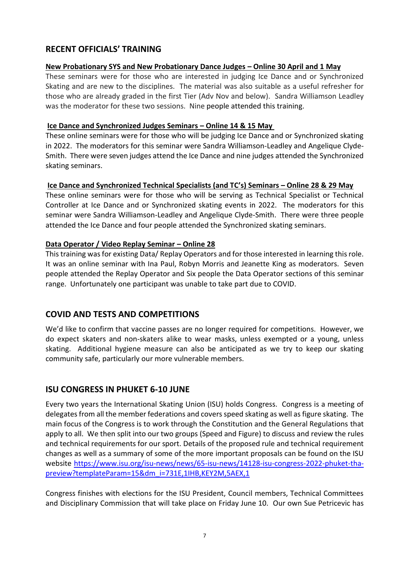## **RECENT OFFICIALS' TRAINING**

### **New Probationary SYS and New Probationary Dance Judges – Online 30 April and 1 May**

These seminars were for those who are interested in judging Ice Dance and or Synchronized Skating and are new to the disciplines. The material was also suitable as a useful refresher for those who are already graded in the first Tier (Adv Nov and below). Sandra Williamson Leadley was the moderator for these two sessions. Nine people attended this training.

### **Ice Dance and Synchronized Judges Seminars – Online 14 & 15 May**

These online seminars were for those who will be judging Ice Dance and or Synchronized skating in 2022. The moderators for this seminar were Sandra Williamson-Leadley and Angelique Clyde-Smith. There were seven judges attend the Ice Dance and nine judges attended the Synchronized skating seminars.

### **Ice Dance and Synchronized Technical Specialists (and TC's) Seminars – Online 28 & 29 May**

These online seminars were for those who will be serving as Technical Specialist or Technical Controller at Ice Dance and or Synchronized skating events in 2022. The moderators for this seminar were Sandra Williamson-Leadley and Angelique Clyde-Smith. There were three people attended the Ice Dance and four people attended the Synchronized skating seminars.

### **Data Operator / Video Replay Seminar – Online 28**

This training was for existing Data/ Replay Operators and for those interested in learning this role. It was an online seminar with Ina Paul, Robyn Morris and Jeanette King as moderators. Seven people attended the Replay Operator and Six people the Data Operator sections of this seminar range. Unfortunately one participant was unable to take part due to COVID.

## **COVID AND TESTS AND COMPETITIONS**

We'd like to confirm that vaccine passes are no longer required for competitions. However, we do expect skaters and non-skaters alike to wear masks, unless exempted or a young, unless skating. Additional hygiene measure can also be anticipated as we try to keep our skating community safe, particularly our more vulnerable members.

## **ISU CONGRESS IN PHUKET 6-10 JUNE**

Every two years the International Skating Union (ISU) holds Congress. Congress is a meeting of delegates from all the member federations and covers speed skating as well as figure skating. The main focus of the Congress is to work through the Constitution and the General Regulations that apply to all. We then split into our two groups (Speed and Figure) to discuss and review the rules and technical requirements for our sport. Details of the proposed rule and technical requirement changes as well as a summary of some of the more important proposals can be found on the ISU website [https://www.isu.org/isu-news/news/65-isu-news/14128-isu-congress-2022-phuket-tha](https://www.isu.org/isu-news/news/65-isu-news/14128-isu-congress-2022-phuket-tha-preview?templateParam=15&dm_i=731E,1IHB,KEY2M,5AEX,1)[preview?templateParam=15&dm\\_i=731E,1IHB,KEY2M,5AEX,1](https://www.isu.org/isu-news/news/65-isu-news/14128-isu-congress-2022-phuket-tha-preview?templateParam=15&dm_i=731E,1IHB,KEY2M,5AEX,1)

Congress finishes with elections for the ISU President, Council members, Technical Committees and Disciplinary Commission that will take place on Friday June 10. Our own Sue Petricevic has